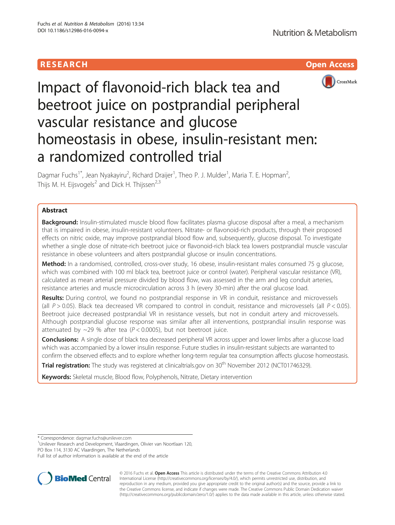# RESEARCH **RESEARCH CHOOSE ACCESS**



# Impact of flavonoid-rich black tea and beetroot juice on postprandial peripheral vascular resistance and glucose homeostasis in obese, insulin-resistant men: a randomized controlled trial

Dagmar Fuchs<sup>1\*</sup>, Jean Nyakayiru<sup>2</sup>, Richard Draijer<sup>1</sup>, Theo P. J. Mulder<sup>1</sup>, Maria T. E. Hopman<sup>2</sup> , Thijs M. H. Eijsvogels<sup>2</sup> and Dick H. Thijssen<sup>2,3</sup>

# Abstract

**Background:** Insulin-stimulated muscle blood flow facilitates plasma glucose disposal after a meal, a mechanism that is impaired in obese, insulin-resistant volunteers. Nitrate- or flavonoid-rich products, through their proposed effects on nitric oxide, may improve postprandial blood flow and, subsequently, glucose disposal. To investigate whether a single dose of nitrate-rich beetroot juice or flavonoid-rich black tea lowers postprandial muscle vascular resistance in obese volunteers and alters postprandial glucose or insulin concentrations.

Method: In a randomised, controlled, cross-over study, 16 obese, insulin-resistant males consumed 75 g glucose, which was combined with 100 ml black tea, beetroot juice or control (water). Peripheral vascular resistance (VR), calculated as mean arterial pressure divided by blood flow, was assessed in the arm and leg conduit arteries, resistance arteries and muscle microcirculation across 3 h (every 30-min) after the oral glucose load.

Results: During control, we found no postprandial response in VR in conduit, resistance and microvessels (all  $P > 0.05$ ). Black tea decreased VR compared to control in conduit, resistance and microvessels (all  $P < 0.05$ ). Beetroot juice decreased postprandial VR in resistance vessels, but not in conduit artery and microvessels. Although postprandial glucose response was similar after all interventions, postprandial insulin response was attenuated by  $\sim$ 29 % after tea ( $P < 0.0005$ ), but not beetroot juice.

Conclusions: A single dose of black tea decreased peripheral VR across upper and lower limbs after a glucose load which was accompanied by a lower insulin response. Future studies in insulin-resistant subjects are warranted to confirm the observed effects and to explore whether long-term regular tea consumption affects glucose homeostasis.

Trial registration: The study was registered at clinicaltrials.gov on 30<sup>th</sup> November 2012 [\(NCT01746329](http://www.clinicaltrials.gov/NCT01746329)).

Keywords: Skeletal muscle, Blood flow, Polyphenols, Nitrate, Dietary intervention

\* Correspondence: [dagmar.fuchs@unilever.com](mailto:dagmar.fuchs@unilever.com) <sup>1</sup>

Unilever Research and Development, Vlaardingen, Olivier van Noortlaan 120, PO Box 114, 3130 AC Vlaardingen, The Netherlands

Full list of author information is available at the end of the article



© 2016 Fuchs et al. Open Access This article is distributed under the terms of the Creative Commons Attribution 4.0 International License [\(http://creativecommons.org/licenses/by/4.0/](http://creativecommons.org/licenses/by/4.0/)), which permits unrestricted use, distribution, and reproduction in any medium, provided you give appropriate credit to the original author(s) and the source, provide a link to the Creative Commons license, and indicate if changes were made. The Creative Commons Public Domain Dedication waiver [\(http://creativecommons.org/publicdomain/zero/1.0/](http://creativecommons.org/publicdomain/zero/1.0/)) applies to the data made available in this article, unless otherwise stated.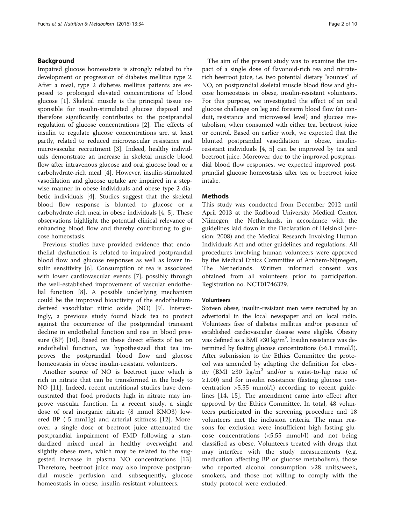# Background

Impaired glucose homeostasis is strongly related to the development or progression of diabetes mellitus type 2. After a meal, type 2 diabetes mellitus patients are exposed to prolonged elevated concentrations of blood glucose [\[1](#page-8-0)]. Skeletal muscle is the principal tissue responsible for insulin-stimulated glucose disposal and therefore significantly contributes to the postprandial regulation of glucose concentrations [\[2](#page-8-0)]. The effects of insulin to regulate glucose concentrations are, at least partly, related to reduced microvascular resistance and microvascular recruitment [[3\]](#page-8-0). Indeed, healthy individuals demonstrate an increase in skeletal muscle blood flow after intravenous glucose and oral glucose load or a carbohydrate-rich meal [\[4](#page-8-0)]. However, insulin-stimulated vasodilation and glucose uptake are impaired in a stepwise manner in obese individuals and obese type 2 diabetic individuals [[4](#page-8-0)]. Studies suggest that the skeletal blood flow response is blunted to glucose or a carbohydrate-rich meal in obese individuals [[4, 5\]](#page-8-0). These observations highlight the potential clinical relevance of enhancing blood flow and thereby contributing to glucose homeostasis.

Previous studies have provided evidence that endothelial dysfunction is related to impaired postprandial blood flow and glucose responses as well as lower insulin sensitivity [[6\]](#page-8-0). Consumption of tea is associated with lower cardiovascular events [[7\]](#page-8-0), possibly through the well-established improvement of vascular endothelial function [[8\]](#page-8-0). A possible underlying mechanism could be the improved bioactivity of the endotheliumderived vasodilator nitric oxide (NO) [[9\]](#page-8-0). Interestingly, a previous study found black tea to protect against the occurrence of the postprandial transient decline in endothelial function and rise in blood pressure (BP) [[10\]](#page-8-0). Based on these direct effects of tea on endothelial function, we hypothesized that tea improves the postprandial blood flow and glucose homeostasis in obese insulin-resistant volunteers.

Another source of NO is beetroot juice which is rich in nitrate that can be transformed in the body to NO [\[11](#page-8-0)]. Indeed, recent nutritional studies have demonstrated that food products high in nitrate may improve vascular function. In a recent study, a single dose of oral inorganic nitrate (8 mmol KNO3) lowered BP (-5 mmHg) and arterial stiffness [\[12](#page-8-0)]. Moreover, a single dose of beetroot juice attenuated the postprandial impairment of FMD following a standardized mixed meal in healthy overweight and slightly obese men, which may be related to the suggested increase in plasma NO concentrations [\[13](#page-8-0)]. Therefore, beetroot juice may also improve postprandial muscle perfusion and, subsequently, glucose homeostasis in obese, insulin-resistant volunteers.

The aim of the present study was to examine the impact of a single dose of flavonoid-rich tea and nitraterich beetroot juice, i.e. two potential dietary "sources" of NO, on postprandial skeletal muscle blood flow and glucose homeostasis in obese, insulin-resistant volunteers. For this purpose, we investigated the effect of an oral glucose challenge on leg and forearm blood flow (at conduit, resistance and microvessel level) and glucose metabolism, when consumed with either tea, beetroot juice or control. Based on earlier work, we expected that the blunted postprandial vasodilation in obese, insulinresistant individuals [[4, 5\]](#page-8-0) can be improved by tea and beetroot juice. Moreover, due to the improved postprandial blood flow responses, we expected improved postprandial glucose homeostasis after tea or beetroot juice intake.

# **Methods**

This study was conducted from December 2012 until April 2013 at the Radboud University Medical Center, Nijmegen, the Netherlands, in accordance with the guidelines laid down in the Declaration of Helsinki (version: 2008) and the Medical Research Involving Human Individuals Act and other guidelines and regulations. All procedures involving human volunteers were approved by the Medical Ethics Committee of Arnhem-Nijmegen, The Netherlands. Written informed consent was obtained from all volunteers prior to participation. Registration no. NCT01746329.

# Volunteers

Sixteen obese, insulin-resistant men were recruited by an advertorial in the local newspaper and on local radio. Volunteers free of diabetes mellitus and/or presence of established cardiovascular disease were eligible. Obesity was defined as a BMI ≥30 kg/m<sup>2</sup>. Insulin resistance was determined by fasting glucose concentrations (>6.1 mmol/l). After submission to the Ethics Committee the protocol was amended by adapting the definition for obesity (BMI ≥30 kg/m<sup>2</sup> and/or a waist-to-hip ratio of ≥1.00) and for insulin resistance (fasting glucose concentration >5.55 mmol/l) according to recent guidelines [[14, 15\]](#page-8-0). The amendment came into effect after approval by the Ethics Committee. In total, 48 volunteers participated in the screening procedure and 18 volunteers met the inclusion criteria. The main reasons for exclusion were insufficient high fasting glucose concentrations (<5.55 mmol/l) and not being classified as obese. Volunteers treated with drugs that may interfere with the study measurements (e.g. medication affecting BP or glucose metabolism), those who reported alcohol consumption >28 units/week, smokers, and those not willing to comply with the study protocol were excluded.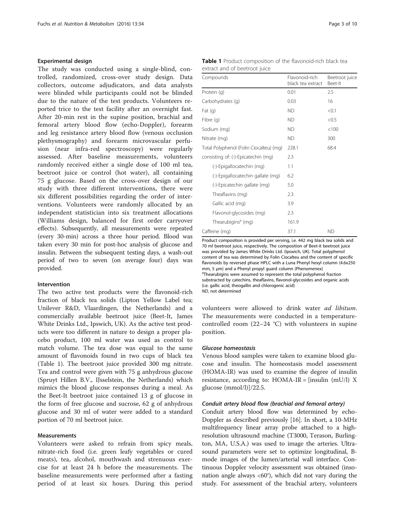# Experimental design

The study was conducted using a single-blind, controlled, randomized, cross-over study design. Data collectors, outcome adjudicators, and data analysts were blinded while participants could not be blinded due to the nature of the test products. Volunteers reported trice to the test facility after an overnight fast. After 20-min rest in the supine position, brachial and femoral artery blood flow (echo-Doppler), forearm and leg resistance artery blood flow (venous occlusion plethysmography) and forearm microvascular perfusion (near infra-red spectroscopy) were regularly assessed. After baseline measurements, volunteers randomly received either a single dose of 100 ml tea, beetroot juice or control (hot water), all containing 75 g glucose. Based on the cross-over design of our study with three different interventions, there were six different possibilities regarding the order of interventions. Volunteers were randomly allocated by an independent statistician into six treatment allocations (Williams design, balanced for first order carryover effects). Subsequently, all measurements were repeated (every 30-min) across a three hour period. Blood was taken every 30 min for post-hoc analysis of glucose and insulin. Between the subsequent testing days, a wash-out period of two to seven (on average four) days was provided.

#### Intervention

The two active test products were the flavonoid-rich fraction of black tea solids (Lipton Yellow Label tea; Unilever R&D, Vlaardingen, the Netherlands) and a commercially available beetroot juice (Beet-It, James White Drinks Ltd., Ipswich, UK). As the active test products were too different in nature to design a proper placebo product, 100 ml water was used as control to match volume. The tea dose was equal to the same amount of flavonoids found in two cups of black tea (Table 1). The beetroot juice provided 300 mg nitrate. Tea and control were given with 75 g anhydrous glucose (Spruyt Hillen B.V., IJsselstein, the Netherlands) which mimics the blood glucose responses during a meal. As the Beet-It beetroot juice contained 13 g of glucose in the form of free glucose and sucrose, 62 g of anhydrous glucose and 30 ml of water were added to a standard portion of 70 ml beetroot juice.

#### Measurements

Volunteers were asked to refrain from spicy meals, nitrate-rich food (i.e. green leafy vegetables or cured meats), tea, alcohol, mouthwash and strenuous exercise for at least 24 h before the measurements. The baseline measurements were performed after a fasting period of at least six hours. During this period

|  |                               | Table 1 Product composition of the flavonoid-rich black tea |  |
|--|-------------------------------|-------------------------------------------------------------|--|
|  | extract and of beetroot juice |                                                             |  |

| Compounds                               | Flavonoid-rich<br>black tea extract | Beetroot juice<br>Beet-It |  |
|-----------------------------------------|-------------------------------------|---------------------------|--|
| Protein (g)                             | 0.01                                | 2.5                       |  |
| Carbohydrates (q)                       | 0.03                                | 16                        |  |
| Fat $(q)$                               | <b>ND</b>                           | < 0.1                     |  |
| Fibre (g)                               | <b>ND</b>                           | < 0.5                     |  |
| Sodium (mg)                             | ND.                                 | < 100                     |  |
| Nitrate (mg)                            | ND.                                 | 300                       |  |
| Total Polyphenol (Folin Ciocalteu) (mg) | 228.1                               | 68.4                      |  |
| consisting of: (-)-Epicatechin (mg)     | 2.3                                 |                           |  |
| (-)-Epigallocatechin (mg)               | 1.1                                 |                           |  |
| (-)-Epigallocatechin gallate (mg)       | 6.2                                 |                           |  |
| (-)-Epicatechin gallate (mg)            | 5.0                                 |                           |  |
| Theaflavins (mg)                        | 2.3                                 |                           |  |
| Gallic acid (mg)                        | 3.9                                 |                           |  |
| Flavonol-glycosides (mg)                | 2.3                                 |                           |  |
| Thearubigins <sup>a</sup> (mg)          | 161.9                               |                           |  |
| Caffeine (mg)                           | 37.1                                | <b>ND</b>                 |  |

Product composition is provided per serving, i.e. 442 mg black tea solids and 70 ml beetroot juice, respectively. The composition of Beet-it beetroot juice was provided by James White Drinks Ltd. (Ipswich, UK). Total polyphenol content of tea was determined by Folin Ciocalteu and the content of specific flavonoids by reversed phase HPLC with a Luna Phenyl hexyl column (4.6x250 mm, 5 μm) and a Phenyl propyl guard column (Phenomenex) <sup>a</sup>Thearubigins were assumed to represent the total polyphenol fraction substracted by catechins, theaflavins, flavonol-glycosides and organic acids (i.e. gallic acid, theogallin and chlorogenic acid)

ND, not determined

volunteers were allowed to drink water ad libitum. The measurements were conducted in a temperaturecontrolled room (22–24 °C) with volunteers in supine position.

#### Glucose homeostasis

Venous blood samples were taken to examine blood glucose and insulin. The homeostasis model assessment (HOMA-IR) was used to examine the degree of insulin resistance, according to:  $HOMA-IR = [insulin (mU/l) X]$ glucose (mmol/l)]/22.5.

#### Conduit artery blood flow (brachial and femoral artery)

Conduit artery blood flow was determined by echo-Doppler as described previously [[16](#page-8-0)]. In short, a 10-MHz multifrequency linear array probe attached to a highresolution ultrasound machine (T3000, Terason, Burlington, MA, U.S.A.) was used to image the arteries. Ultrasound parameters were set to optimize longitudinal, Bmode images of the lumen/arterial wall interface. Continuous Doppler velocity assessment was obtained (insonation angle always  $<60^\circ$ ), which did not vary during the study. For assessment of the brachial artery, volunteers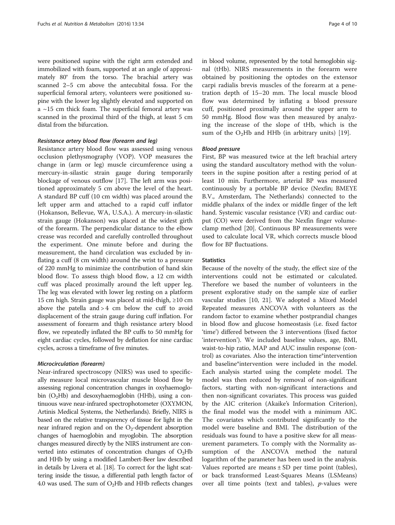were positioned supine with the right arm extended and immobilized with foam, supported at an angle of approximately 80° from the torso. The brachial artery was scanned 2–5 cm above the antecubital fossa. For the superficial femoral artery, volunteers were positioned supine with the lower leg slightly elevated and supported on a ~15 cm thick foam. The superficial femoral artery was scanned in the proximal third of the thigh, at least 5 cm distal from the bifurcation.

#### Resistance artery blood flow (forearm and leg)

Resistance artery blood flow was assessed using venous occlusion plethysmography (VOP). VOP measures the change in (arm or leg) muscle circumference using a mercury-in-silastic strain gauge during temporarily blockage of venous outflow [\[17](#page-8-0)]. The left arm was positioned approximately 5 cm above the level of the heart. A standard BP cuff (10 cm width) was placed around the left upper arm and attached to a rapid cuff inflator (Hokanson, Bellevue, WA, U.S.A.). A mercury-in-silastic strain gauge (Hokanson) was placed at the widest girth of the forearm. The perpendicular distance to the elbow crease was recorded and carefully controlled throughout the experiment. One minute before and during the measurement, the hand circulation was excluded by inflating a cuff (8 cm width) around the wrist to a pressure of 220 mmHg to minimize the contribution of hand skin blood flow. To assess thigh blood flow, a 12 cm width cuff was placed proximally around the left upper leg. The leg was elevated with lower leg resting on a platform 15 cm high. Strain gauge was placed at mid-thigh, ≥10 cm above the patella and  $> 4$  cm below the cuff to avoid displacement of the strain gauge during cuff inflation. For assessment of forearm and thigh resistance artery blood flow, we repeatedly inflated the BP cuffs to 50 mmHg for eight cardiac cycles, followed by deflation for nine cardiac cycles, across a timeframe of five minutes.

#### Microcirculation (forearm)

Near-infrared spectroscopy (NIRS) was used to specifically measure local microvascular muscle blood flow by assessing regional concentration changes in oxyhaemoglobin  $(O_2Hb)$  and desoxyhaemoglobin (HHb), using a continuous wave near-infrared spectrophotometer (OXYMON, Artinis Medical Systems, the Netherlands). Briefly, NIRS is based on the relative transparency of tissue for light in the near infrared region and on the  $O_2$ -dependent absorption changes of haemoglobin and myoglobin. The absorption changes measured directly by the NIRS instrument are converted into estimates of concentration changes of  $O_2Hb$ and HHb by using a modified Lambert-Beer law described in details by Livera et al. [\[18\]](#page-8-0). To correct for the light scattering inside the tissue, a differential path length factor of 4.0 was used. The sum of  $O<sub>2</sub>Hb$  and HHb reflects changes in blood volume, represented by the total hemoglobin signal (tHb). NIRS measurements in the forearm were obtained by positioning the optodes on the extensor carpi radialis brevis muscles of the forearm at a penetration depth of 15–20 mm. The local muscle blood flow was determined by inflating a blood pressure cuff, positioned proximally around the upper arm to 50 mmHg. Blood flow was then measured by analyzing the increase of the slope of tHb, which is the sum of the  $O<sub>2</sub>Hb$  and HHb (in arbitrary units) [[19\]](#page-8-0).

## Blood pressure

First, BP was measured twice at the left brachial artery using the standard auscultatory method with the volunteers in the supine position after a resting period of at least 10 min. Furthermore, arterial BP was measured continuously by a portable BP device (Nexfin; BMEYE B.V., Amsterdam, The Netherlands) connected to the middle phalanx of the index or middle finger of the left hand. Systemic vascular resistance (VR) and cardiac output (CO) were derived from the Nexfin finger volumeclamp method [\[20](#page-8-0)]. Continuous BP measurements were used to calculate local VR, which corrects muscle blood flow for BP fluctuations.

# **Statistics**

Because of the novelty of the study, the effect size of the interventions could not be estimated or calculated. Therefore we based the number of volunteers in the present explorative study on the sample size of earlier vascular studies [[10, 21](#page-8-0)]. We adopted a Mixed Model Repeated measures ANCOVA with volunteers as the random factor to examine whether postprandial changes in blood flow and glucose homeostasis (i.e. fixed factor 'time') differed between the 3 interventions (fixed factor 'intervention'). We included baseline values, age, BMI, waist-to-hip ratio, MAP and AUC insulin response (control) as covariates. Also the interaction time\*intervention and baseline\*intervention were included in the model. Each analysis started using the complete model. The model was then reduced by removal of non-significant factors, starting with non-significant interactions and then non-significant covariates. This process was guided by the AIC criterion (Akaike's Information Criterion), the final model was the model with a minimum AIC. The covariates which contributed significantly to the model were baseline and BMI. The distribution of the residuals was found to have a positive skew for all measurement parameters. To comply with the Normality assumption of the ANCOVA method the natural logarithm of the parameter has been used in the analysis. Values reported are means  $\pm$  SD per time point (tables), or back transformed Least-Squares Means (LSMeans) over all time points (text and tables),  $p$ -values were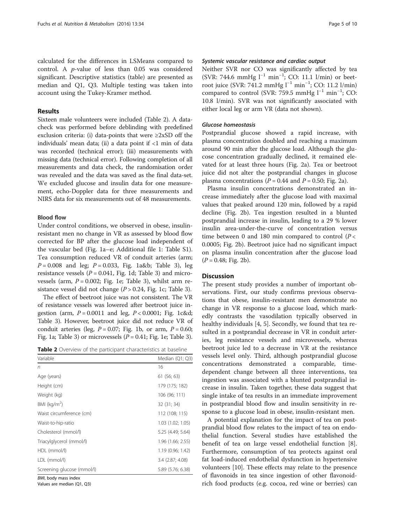calculated for the differences in LSMeans compared to control. A p-value of less than 0.05 was considered significant. Descriptive statistics (table) are presented as median and Q1, Q3. Multiple testing was taken into account using the Tukey-Kramer method.

# Results

Sixteen male volunteers were included (Table 2). A datacheck was performed before deblinding with predefined exclusion criteria: (i) data-points that were  $\geq 2xSD$  off the individuals' mean data; (ii) a data point if <1 min of data was recorded (technical error); (iii) measurements with missing data (technical error). Following completion of all measurements and data check, the randomisation order was revealed and the data was saved as the final data-set. We excluded glucose and insulin data for one measurement, echo-Doppler data for three measurements and NIRS data for six measurements out of 48 measurements.

# Blood flow

Under control conditions, we observed in obese, insulinresistant men no change in VR as assessed by blood flow corrected for BP after the glucose load independent of the vascular bed (Fig. [1a](#page-5-0)–e; Additional file [1:](#page-7-0) Table S1). Tea consumption reduced VR of conduit arteries (arm;  $P = 0.008$  and leg;  $P = 0.033$ , Fig. [1a&](#page-5-0)b; Table [3\)](#page-6-0), leg resistance vessels ( $P = 0.041$ , Fig. [1d](#page-5-0); Table [3\)](#page-6-0) and microvessels (arm,  $P = 0.002$ ; Fig. [1e](#page-5-0); Table [3](#page-6-0)), whilst arm resistance vessel did not change  $(P > 0.24$ , Fig. [1c;](#page-5-0) Table [3\)](#page-6-0).

The effect of beetroot juice was not consistent. The VR of resistance vessels was lowered after beetroot juice ingestion (arm,  $P = 0.0011$  and leg,  $P < 0.0001$ ; Fig. [1c](#page-5-0)&d; Table [3\)](#page-6-0). However, beetroot juice did not reduce VR of conduit arteries (leg,  $P = 0.07$ ; Fig. [1b](#page-5-0), or arm,  $P = 0.60$ ; Fig. [1a;](#page-5-0) Table [3](#page-6-0)) or microvessels  $(P = 0.41;$  Fig. [1e](#page-5-0); Table 3).

| Table 2 Overview of the participant characteristics at baseline |  |
|-----------------------------------------------------------------|--|
|-----------------------------------------------------------------|--|

| Variable                   | Median (Q1; Q3)   |
|----------------------------|-------------------|
| n                          | 16                |
| Age (years)                | 61 (56; 63)       |
| Height (cm)                | 179 (175; 182)    |
| Weight (kg)                | 106 (96; 111)     |
| BMI ( $\text{kg/m}^2$ )    | 32 (31; 34)       |
| Waist circumference (cm)   | 112 (108; 115)    |
| Waist-to-hip-ratio         | 1.03 (1.02; 1.05) |
| Cholesterol (mmol/l)       | 5.25 (4.49; 5.64) |
| Triacylglycerol (mmol/l)   | 1.96 (1.66; 2.55) |
| HDL (mmol/l)               | 1.19(0.96; 1.42)  |
| LDL (mmol/l)               | 3.4 (2.87; 4.08)  |
| Screening glucose (mmol/l) | 5.89 (5.76; 6.38) |
| BMI, body mass index       |                   |

Values are median (Q1, Q3)

# Systemic vascular resistance and cardiac output

Neither SVR nor CO was significantly affected by tea (SVR: 744.6 mmHg l−<sup>1</sup> min−<sup>1</sup> ; CO: 11.1 l/min) or beetroot juice (SVR: 741.2 mmHg l<sup>-1</sup> min<sup>-1</sup>; CO: 11.2 l/min) compared to control (SVR: 759.5 mmHg l<sup>-1</sup> min<sup>-1</sup>; CO: 10.8 l/min). SVR was not significantly associated with either local leg or arm VR (data not shown).

#### Glucose homeostasis

Postprandial glucose showed a rapid increase, with plasma concentration doubled and reaching a maximum around 90 min after the glucose load. Although the glucose concentration gradually declined, it remained elevated for at least three hours (Fig. [2a](#page-6-0)). Tea or beetroot juice did not alter the postprandial changes in glucose plasma concentrations ( $P = 0.44$  and  $P = 0.50$ ; Fig. [2a\)](#page-6-0).

Plasma insulin concentrations demonstrated an increase immediately after the glucose load with maximal values that peaked around 120 min, followed by a rapid decline (Fig. [2b](#page-6-0)). Tea ingestion resulted in a blunted postprandial increase in insulin, leading to a 29 % lower insulin area-under-the-curve of concentration versus time between 0 and 180 min compared to control  $(P <$ 0.0005; Fig. [2b\)](#page-6-0). Beetroot juice had no significant impact on plasma insulin concentration after the glucose load  $(P = 0.48; Fig. 2b)$  $(P = 0.48; Fig. 2b)$  $(P = 0.48; Fig. 2b)$ .

#### **Discussion**

The present study provides a number of important observations. First, our study confirms previous observations that obese, insulin-resistant men demonstrate no change in VR response to a glucose load, which markedly contrasts the vasodilation typically observed in healthy individuals [\[4](#page-8-0), [5](#page-8-0)]. Secondly, we found that tea resulted in a postprandial decrease in VR in conduit arteries, leg resistance vessels and microvessels, whereas beetroot juice led to a decrease in VR at the resistance vessels level only. Third, although postprandial glucose concentrations demonstrated a comparable, timedependent change between all three interventions, tea ingestion was associated with a blunted postprandial increase in insulin. Taken together, these data suggest that single intake of tea results in an immediate improvement in postprandial blood flow and insulin sensitivity in response to a glucose load in obese, insulin-resistant men.

A potential explanation for the impact of tea on postprandial blood flow relates to the impact of tea on endothelial function. Several studies have established the benefit of tea on large vessel endothelial function [\[8](#page-8-0)]. Furthermore, consumption of tea protects against oral fat load-induced endothelial dysfunction in hypertensive volunteers [[10](#page-8-0)]. These effects may relate to the presence of flavonoids in tea since ingestion of other flavonoidrich food products (e.g. cocoa, red wine or berries) can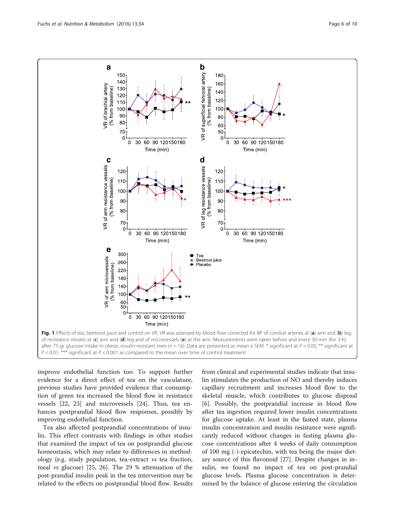<span id="page-5-0"></span>

improve endothelial function too. To support further evidence for a direct effect of tea on the vasculature, previous studies have provided evidence that consumption of green tea increased the blood flow in resistance vessels [[22, 23](#page-8-0)] and microvessels [[24\]](#page-8-0). Thus, tea enhances postprandial blood flow responses, possibly by improving endothelial function.

Tea also affected postprandial concentrations of insulin. This effect contrasts with findings in other studies that examined the impact of tea on postprandial glucose homeostasis, which may relate to differences in methodology (e.g. study population, tea-extract vs tea fraction, meal vs glucose) [[25](#page-8-0), [26\]](#page-8-0). The 29 % attenuation of the post-prandial insulin peak in the tea intervention may be related to the effects on postprandial blood flow. Results

from clinical and experimental studies indicate that insulin stimulates the production of NO and thereby induces capillary recruitment and increases blood flow to the skeletal muscle, which contributes to glucose disposal [[6\]](#page-8-0). Possibly, the postprandial increase in blood flow after tea ingestion required lower insulin concentrations for glucose uptake. At least in the fasted state, plasma insulin concentration and insulin resistance were significantly reduced without changes in fasting plasma glucose concentrations after 4 weeks of daily consumption of 100 mg (-)-epicatechin, with tea being the major dietary source of this flavonoid [[27\]](#page-8-0). Despite changes in insulin, we found no impact of tea on post-prandial glucose levels. Plasma glucose concentration is determined by the balance of glucose entering the circulation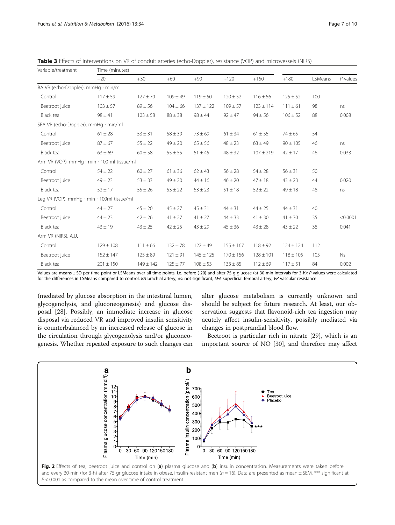| Variable/treatment                                      | Time (minutes) |               |              |               |               |               |               |         |          |
|---------------------------------------------------------|----------------|---------------|--------------|---------------|---------------|---------------|---------------|---------|----------|
|                                                         | $-20$          | $+30$         | $+60$        | $+90$         | $+120$        | $+150$        | $+180$        | LSMeans | P-values |
| BA VR (echo-Doppler), mmHg · min/ml                     |                |               |              |               |               |               |               |         |          |
| Control                                                 | $117 \pm 59$   | $127 \pm 70$  | $109 \pm 49$ | $119 \pm 50$  | $120 \pm 52$  | $116 \pm 56$  | $125 \pm 52$  | 100     |          |
| Beetroot juice                                          | $103 \pm 57$   | $89 \pm 56$   | $104 \pm 66$ | $137 \pm 122$ | $109 \pm 57$  | $123 \pm 114$ | $111 \pm 61$  | 98      | ns       |
| Black tea                                               | $98 \pm 41$    | $103 \pm 58$  | $88 \pm 38$  | $98 \pm 44$   | $92 \pm 47$   | $94 \pm 56$   | $106 \pm 52$  | 88      | 0.008    |
| SFA VR (echo-Doppler), $mmHg \cdot min/ml$              |                |               |              |               |               |               |               |         |          |
| Control                                                 | $61 \pm 28$    | $53 \pm 31$   | $58 \pm 39$  | $73 \pm 69$   | $61 \pm 34$   | $61 \pm 55$   | $74 \pm 65$   | 54      |          |
| Beetroot juice                                          | $87 \pm 67$    | $55 \pm 22$   | $49 \pm 20$  | $65 \pm 56$   | $48 \pm 23$   | $63 \pm 49$   | $90 \pm 105$  | 46      | ns       |
| Black tea                                               | $63 \pm 69$    | $60 \pm 58$   | $55 \pm 55$  | $51 \pm 45$   | $48 \pm 32$   | $107 \pm 219$ | $42 \pm 17$   | 46      | 0.033    |
| Arm VR (VOP), mmHq $\cdot$ min $\cdot$ 100 ml tissue/ml |                |               |              |               |               |               |               |         |          |
| Control                                                 | $54 \pm 22$    | $60 \pm 27$   | $61 \pm 36$  | $62 \pm 43$   | $56 \pm 28$   | $54 \pm 28$   | $56 \pm 31$   | 50      |          |
| Beetroot juice                                          | $49 \pm 23$    | $53 \pm 33$   | $49 \pm 20$  | $44 \pm 16$   | $46 \pm 20$   | $47 \pm 18$   | $43 \pm 23$   | 44      | 0.020    |
| Black tea                                               | $52 \pm 17$    | $55 \pm 26$   | $53 \pm 22$  | $53 \pm 23$   | $51 \pm 18$   | $52 \pm 22$   | $49 \pm 18$   | 48      | ns       |
| Leg VR (VOP), mmHg · min · 100ml tissue/ml              |                |               |              |               |               |               |               |         |          |
| Control                                                 | $44 \pm 27$    | $45 \pm 20$   | $45 \pm 27$  | $45 \pm 31$   | $44 \pm 31$   | $44 \pm 25$   | $44 \pm 31$   | 40      |          |
| Beetroot juice                                          | $44 \pm 23$    | $42 \pm 26$   | $41 \pm 27$  | $41 \pm 27$   | $44 \pm 33$   | $41 \pm 30$   | $41 \pm 30$   | 35      | < 0.0001 |
| Black tea                                               | $43 \pm 19$    | $43 \pm 25$   | $42 \pm 25$  | $43 \pm 29$   | $45 \pm 36$   | $43 \pm 28$   | $43 \pm 22$   | 38      | 0.041    |
| Arm VR (NIRS), A.U.                                     |                |               |              |               |               |               |               |         |          |
| Control                                                 | $129 \pm 108$  | $111 \pm 66$  | $132 \pm 78$ | $122 \pm 49$  | $155 \pm 167$ | $118 \pm 92$  | $124 \pm 124$ | 112     |          |
| Beetroot juice                                          | $152 \pm 147$  | $125 \pm 89$  | $121 \pm 91$ | $145 \pm 125$ | $170 \pm 156$ | $128 \pm 101$ | $118 \pm 105$ | 105     | Ns       |
| Black tea                                               | $201 \pm 150$  | $149 \pm 142$ | $125 \pm 77$ | $108 \pm 53$  | $133 \pm 85$  | $112 \pm 69$  | $117 \pm 51$  | 84      | 0.002    |

<span id="page-6-0"></span>Table 3 Effects of interventions on VR of conduit arteries (echo-Doppler), resistance (VOP) and microvessels (NIRS)

Values are means ± SD per time point or LSMeans over all time points, i.e. before (-20) and after 75 g glucose (at 30-min intervals for 3-h); P-values were calculated for the differences in LSMeans compared to control. BA brachial artery; ns: not significant, SFA superficial femoral artery, VR vascular resistance

(mediated by glucose absorption in the intestinal lumen, glycogenolysis, and gluconeogenesis) and glucose disposal [[28\]](#page-8-0). Possibly, an immediate increase in glucose disposal via reduced VR and improved insulin sensitivity is counterbalanced by an increased release of glucose in the circulation through glycogenolysis and/or gluconeogenesis. Whether repeated exposure to such changes can alter glucose metabolism is currently unknown and should be subject for future research. At least, our observation suggests that flavonoid-rich tea ingestion may acutely affect insulin-sensitivity, possibly mediated via changes in postprandial blood flow.

Beetroot is particular rich in nitrate [[29\]](#page-8-0), which is an important source of NO [\[30](#page-8-0)], and therefore may affect



and every 30-min (for 3-h) after 75-gr glucose intake in obese, insulin-resistant men ( $n = 16$ ). Data are presented as mean  $\pm$  SEM. \*\*\* significant at  $P < 0.001$  as compared to the mean over time of control treatment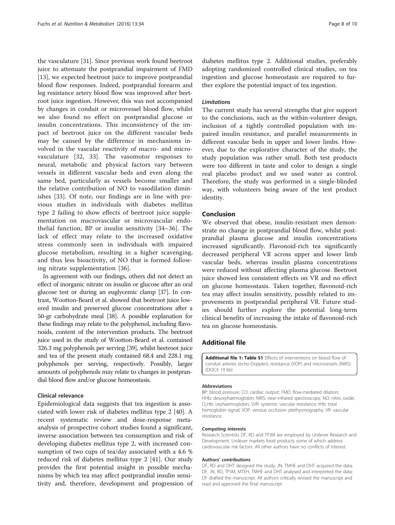<span id="page-7-0"></span>the vasculature [[31\]](#page-8-0). Since previous work found beetroot juice to attenuate the postprandial impairment of FMD [[13\]](#page-8-0), we expected beetroot juice to improve postprandial blood flow responses. Indeed, postprandial forearm and leg resistance artery blood flow was improved after beetroot juice ingestion. However, this was not accompanied by changes in conduit or microvessel blood flow, whilst we also found no effect on postprandial glucose or insulin concentrations. This inconsistency of the impact of beetroot juice on the different vascular beds may be caused by the difference in mechanisms involved in the vascular reactivity of macro- and microvasculature [[32, 33\]](#page-8-0). The vasomotor responses to neural, metabolic and physical factors vary between vessels in different vascular beds and even along the same bed, particularly as vessels become smaller and the relative contribution of NO to vasodilation diminishes [[33\]](#page-8-0). Of note, our findings are in line with previous studies in individuals with diabetes mellitus type 2 failing to show effects of beetroot juice supplementation on macrovascular or microvascular endothelial function, BP or insulin sensitivity [\[34](#page-8-0)–[36](#page-9-0)]. The lack of effect may relate to the increased oxidative stress commonly seen in individuals with impaired glucose metabolism, resulting in a higher scavenging, and thus less bioactivity, of NO that is formed following nitrate supplementation [[36\]](#page-9-0).

In agreement with our findings, others did not detect an effect of inorganic nitrate on insulin or glucose after an oral glucose test or during an euglycemic clamp [[37](#page-9-0)]. In contrast, Wootton-Beard et al. showed that beetroot juice lowered insulin and preserved glucose concentrations after a 50-gr carbohydrate meal [[38](#page-9-0)]. A possible explanation for these findings may relate to the polyphenol, including flavonoids, content of the intervention products. The beetroot juice used in the study of Wootton-Beard et al. contained 326.3 mg polyphenols per serving [\[39\]](#page-9-0), whilst beetroot juice and tea of the present study contained 68.4 and 228.1 mg polyphenols per serving, respectively. Possibly, larger amounts of polyphenols may relate to changes in postprandial blood flow and/or glucose homeostasis.

# Clinical relevance

Epidemiological data suggests that tea ingestion is associated with lower risk of diabetes mellitus type 2 [\[40\]](#page-9-0). A recent systematic review and dose-response metaanalysis of prospective cohort studies found a significant, inverse association between tea consumption and risk of developing diabetes mellitus type 2, with increased consumption of two cups of tea/day associated with a 4.6 % reduced risk of diabetes mellitus type 2 [\[41](#page-9-0)]. Our study provides the first potential insight in possible mechanisms by which tea may affect postprandial insulin sensitivity and, therefore, development and progression of diabetes mellitus type 2. Additional studies, preferably adopting randomized controlled clinical studies, on tea ingestion and glucose homeostasis are required to further explore the potential impact of tea ingestion.

# Limitations

The current study has several strengths that give support to the conclusions, such as the within-volunteer design, inclusion of a tightly controlled population with impaired insulin resistance, and parallel measurements in different vascular beds in upper and lower limbs. However, due to the explorative character of the study, the study population was rather small. Both test products were too different in taste and color to design a single real placebo product and we used water as control. Therefore, the study was performed in a single-blinded way, with volunteers being aware of the test product identity.

# Conclusion

We observed that obese, insulin-resistant men demonstrate no change in postprandial blood flow, whilst postprandial plasma glucose and insulin concentrations increased significantly. Flavonoid-rich tea significantly decreased peripheral VR across upper and lower limb vascular beds, whereas insulin plasma concentrations were reduced without affecting plasma glucose. Beetroot juice showed less consistent effects on VR and no effect on glucose homeostasis. Taken together, flavonoid-rich tea may affect insulin sensitivity, possibly related to improvements in postprandial peripheral VR. Future studies should further explore the potential long-term clinical benefits of increasing the intake of flavonoid-rich tea on glucose homeostasis.

# Additional file

[Additional file 1: Table S1](dx.doi.org/10.1186/s12986-016-0094-x) Effects of interventions on blood flow of conduit arteries (echo-Doppler), resistance (VOP) and microvessels (NIRS). (DOCX 19 kb)

#### Abbreviations

BP: blood pressure; CO: cardiac output; FMD: flow-mediated dilation; HHb: desoxyhaemoglobin; NIRS: near-infrared spectroscopy; NO: nitric oxide; O2Hb: oxyhaemoglobin; SVR: systemic vascular resistance; tHb: total hemoglobin signal; VOP: venous occlusion plethysmography; VR: vascular resistance.

#### Competing interests

Research Scientists DF, RD and TPJM are employed by Unilever Research and Development. Unilever markets food products some of which address cardiovascular risk factors. All other authors have no conflicts of interest.

#### Authors' contributions

DF, RD and DHT designed the study; JN, TMHE and DHT acquired the data; DF, JN, RD, TPJM, MTEH, TMHE and DHT analysed and interpreted the data; DF drafted the manuscript. All authors critically revised the manuscript and read and approved the final manuscript.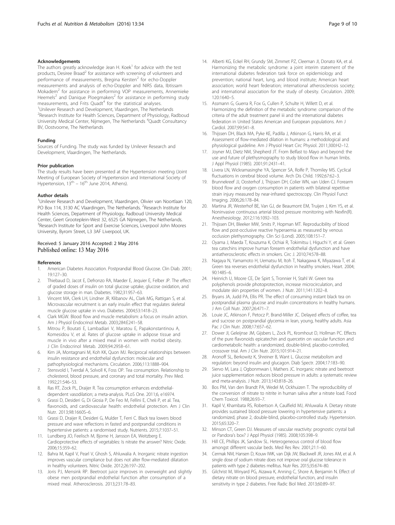#### <span id="page-8-0"></span>Acknowledgements

The authors greatly acknowledge Jean H. Koek $1$  for advice with the test products, Desiree Braad<sup>2</sup> for assistance with screening of volunteers and performance of measurements, Bregina Kersten<sup>2</sup> for echo-Doppler measurements and analysis of echo-Doppler and NIRS data, Ibtissam Mokadem<sup>2</sup> for assistance in performing VOP measurements, Annemieke Heemels<sup>2</sup> and Danique Ploegmakers<sup>2</sup> for assistance in performing study measurements, and Frits Quadt<sup>4</sup> for the statistical analyses. <sup>1</sup>Unilever Research and Development, Vlaardingen, The Netherlands <sup>2</sup> Research Institute for Health Sciences, Department of Physiology, Radboud University Medical Center, Nijmegen, The Netherlands <sup>4</sup> Quadt Consultancy BV, Oostvoorne, The Netherlands

#### Funding

Sources of Funding. The study was funded by Unilever Research and Development, Vlaardingen, The Netherlands.

#### Prior publication

The study results have been presented at the Hypertension meeting (Joint Meeting of European Society of Hypertension and International Society of Hypertension,  $13<sup>th</sup> - 16<sup>th</sup>$  June 2014, Athens).

#### Author details

<sup>1</sup>Unilever Research and Development, Vlaardingen, Olivier van Noortlaan 120, PO Box 114, 3130 AC Vlaardingen, The Netherlands. <sup>2</sup>Research Institute for Health Sciences, Department of Physiology, Radboud University Medical Center, Geert Grooteplein-West 32, 6525 GA Nijmegen, The Netherlands. <sup>3</sup>Research Institute for Sport and Exercise Sciences, Liverpool John Moores University, Byrom Street, L3 3AF Liverpool, UK.

#### Received: 5 January 2016 Accepted: 2 May 2016 Published online: 13 May 2016

#### References

- 1. American Diabetes Association. Postprandial Blood Glucose. Clin Diab. 2001; 19:127–30.
- 2. Thiebaud D, Jacot E, Defronzo RA, Maeder E, Jequier E, Felber JP. The effect of graded doses of insulin on total glucose uptake, glucose oxidation, and glucose storage in man. Diabetes. 1982;31:957–63.
- 3. Vincent MA, Clerk LH, Lindner JR, Klibanov AL, Clark MG, Rattigan S, et al. Microvascular recruitment is an early insulin effect that regulates skeletal muscle glucose uptake in vivo. Diabetes. 2004;53:1418–23.
- 4. Clark MGW. Blood flow and muscle metabolism: a focus on insulin action. Am J Physiol Endocrinol Metab. 2003;284:E241–58.
- 5. Mitrou P, Boutati E, Lambadiari V, Maratou E, Papakonstantinou A, Komesidou V, et al. Rates of glucose uptake in adipose tissue and muscle in vivo after a mixed meal in women with morbid obesity. J Clin Endocrinol Metab. 2009;94:2958–61.
- 6. Kim JA, Montagnani M, Koh KK, Quon MJ. Reciprocal relationships between insulin resistance and endothelial dysfunction: molecular and pathophysiological mechanisms. Circulation. 2006;113:1888–904.
- 7. Stensvold I, Tverdal A, Solvoll K, Foss OP. Tea consumption. Relationship to cholesterol, blood pressure, and coronary and total mortality. Prev Med. 1992;21:546–53.
- Ras RT, Zock PL, Draijer R. Tea consumption enhances endothelialdependent vasodilation; a meta-analysis. PLoS One. 2011;6, e16974.
- 9. Grassi D, Desideri G, Di Giosia P, De Feo M, Fellini E, Cheli P, et al. Tea, flavonoids, and cardiovascular health: endothelial protection. Am J Clin Nutr. 2013;98:1660S–6.
- 10. Grassi D, Draijer R, Desideri G, Mulder T, Ferri C. Black tea lowers blood pressure and wave reflections in fasted and postprandial conditions in hypertensive patients: a randomised study. Nutrients. 2015;7:1037–51.
- 11. Lundberg JO, Feelisch M, Bjorne H, Jansson EA, Weitzberg E. Cardioprotective effects of vegetables: Is nitrate the answer? Nitric Oxide. 2006;15:359–62.
- 12. Bahra M, Kapil V, Pearl V, Ghosh S, Ahluwalia A. Inorganic nitrate ingestion improves vascular compliance but does not alter flow-mediated dilatation in healthy volunteers. Nitric Oxide. 2012;26:197–202.
- 13. Joris PJ, Mensink RP. Beetroot juice improves in overweight and slightly obese men postprandial endothelial function after consumption of a mixed meal. Atherosclerosis. 2013;231:78–83.
- 
- 14. Alberti KG, Eckel RH, Grundy SM, Zimmet PZ, Cleeman JI, Donato KA, et al. Harmonizing the metabolic syndrome: a joint interim statement of the international diabetes federation task force on epidemiology and prevention; national heart, lung, and blood institute; American heart association; world heart federation; international atherosclerosis society; and international association for the study of obesity. Circulation. 2009; 120:1640–5.
- 15. Assmann G, Guerra R, Fox G, Cullen P, Schulte H, Willett D, et al. Harmonizing the definition of the metabolic syndrome: comparison of the criteria of the adult treatment panel iii and the international diabetes federation in United States American and European populations. Am J Cardiol. 2007;99:541–8.
- 16. Thijssen DH, Black MA, Pyke KE, Padilla J, Atkinson G, Harris RA, et al. Assessment of flow-mediated dilation in humans: a methodological and physiological guideline. Am J Physiol Heart Circ Physiol. 2011;300:H2–12.
- 17. Joyner MJ, Dietz NM, Shepherd JT. From Belfast to Mayo and beyond: the use and future of plethysmography to study blood flow in human limbs. J Appl Physiol (1985). 2001;91:2431–41.
- 18. Livera LN, Wickramasinghe YA, Spencer SA, Rolfe P, Thorniley MS. Cyclical fluctuations in cerebral blood volume. Arch Dis Child. 1992;67:62–3.
- 19. Brunnekreef JJ, Oosterhof J, Thijssen DH, Colier WN, van Uden CJ. Forearm blood flow and oxygen consumption in patients with bilateral repetitive strain injury measured by near-infrared spectroscopy. Clin Physiol Funct Imaging. 2006;26:178–84.
- 20. Martina JR, Westerhof BE, Van GJ, de Beaumont EM, Truijen J, Kim YS, et al. Noninvasive continuous arterial blood pressure monitoring with Nexfin(R). Anesthesiology. 2012;116:1092–103.
- 21. Thijssen DH, Bleeker MW, Smits P, Hopman MT. Reproducibility of blood flow and post-occlusive reactive hyperaemia as measured by venous occlusion plethysmography. Clin Sci (Lond). 2005;108:151–7.
- 22. Oyama J, Maeda T, Kouzuma K, Ochiai R, Tokimitsu I, Higuchi Y, et al. Green tea catechins improve human forearm endothelial dysfunction and have antiatherosclerotic effects in smokers. Circ J. 2010;74:578–88.
- 23. Nagaya N, Yamamoto H, Uematsu M, Itoh T, Nakagawa K, Miyazawa T, et al. Green tea reverses endothelial dysfunction in healthy smokers. Heart. 2004; 90:1485–6.
- 24. Heinrich U, Moore CE, De Spirt S, Tronnier H, Stahl W. Green tea polyphenols provide photoprotection, increase microcirculation, and modulate skin properties of women. J Nutr. 2011;141:1202–8.
- 25. Bryans JA, Judd PA, Ellis PR. The effect of consuming instant black tea on postprandial plasma glucose and insulin concentrations in healthy humans. J Am Coll Nutr. 2007;26:471–7.
- 26. Louie JC, Atkinson F, Petocz P, Brand-Miller JC. Delayed effects of coffee, tea and sucrose on postprandial glycemia in lean, young, healthy adults. Asia Pac J Clin Nutr. 2008;17:657–62.
- 27. Dower JI, Geleijnse JM, Gijsbers L, Zock PL, Kromhout D, Hollman PC. Effects of the pure flavonoids epicatechin and quercetin on vascular function and cardiometabolic health: a randomized, double-blind, placebo-controlled, crossover trial. Am J Clin Nutr. 2015;101:914–21.
- 28. Aronoff SL, Berkowitz K, Shreiner B, Want L. Glucose metabolism and regulation: beyond insulin and glucagon. Diab Spectr. 2004;17:183–90.
- 29. Siervo M, Lara J, Ogbonmwan I, Mathers JC. Inorganic nitrate and beetroot juice supplementation reduces blood pressure in adults: a systematic review and meta-analysis. J Nutr. 2013;143:818–26.
- 30. Bos PM, Van den Brandt PA, Wedel M, Ockhuizen T. The reproducibility of the conversion of nitrate to nitrite in human saliva after a nitrate load. Food Chem Toxicol. 1988;26:93–7.
- 31. Kapil V, Khambata RS, Robertson A, Caulfield MJ, Ahluwalia A. Dietary nitrate provides sustained blood pressure lowering in hypertensive patients: a randomized, phase 2, double-blind, placebo-controlled study. Hypertension. 2015;65:320–7.
- 32. Minson CT, Green DJ. Measures of vascular reactivity: prognostic crystal ball or Pandora's box? J Appl Physiol (1985). 2008;105:398–9.
- 33. Hill CE, Phillips JK, Sandow SL. Heterogeneous control of blood flow amongst different vascular beds. Med Res Rev. 2001;21:1–60.
- 34. Cermak NM, Hansen D, Kouw IWK, van Dijk JW, Blackwell JR, Jones AM, et al. A single dose of sodium nitrate does not improve oral glucose tolerance in patients with type 2 diabetes mellitus. Nutr Res. 2015;35:674–80.
- 35. Gilchrist M, Winyard PG, Aizawa K, Anning C, Shore A, Benjamin N. Effect of dietary nitrate on blood pressure, endothelial function, and insulin sensitivity in type 2 diabetes. Free Radic Biol Med. 2013;60:89–97.